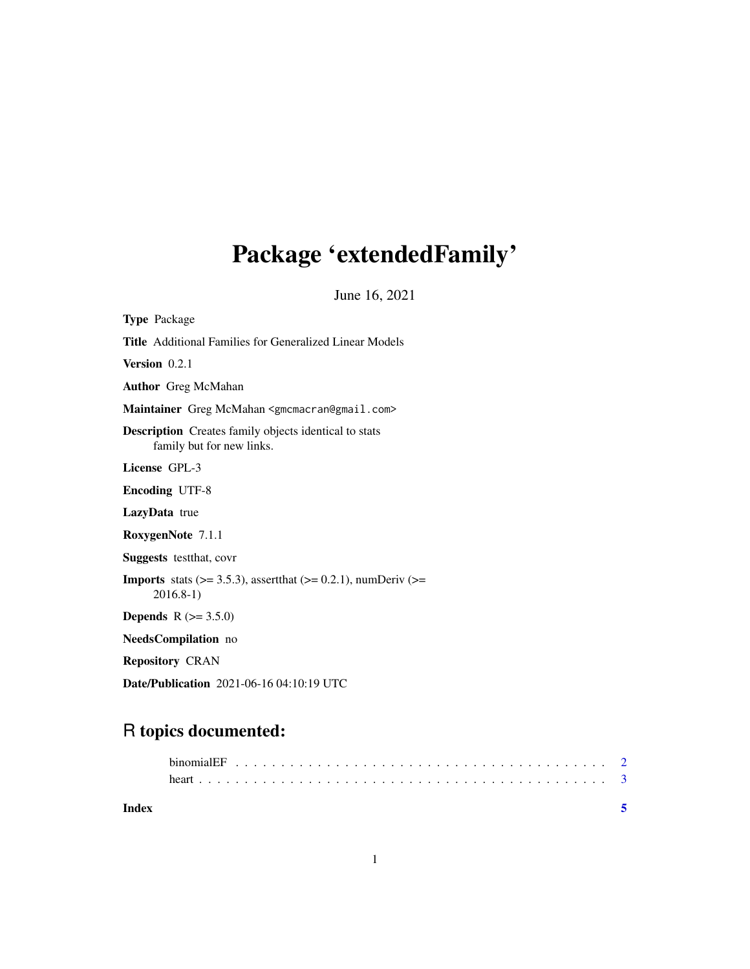## Package 'extendedFamily'

June 16, 2021

| <b>Type Package</b>                                                                                |
|----------------------------------------------------------------------------------------------------|
| <b>Title</b> Additional Families for Generalized Linear Models                                     |
| Version 0.2.1                                                                                      |
| <b>Author</b> Greg McMahan                                                                         |
| Maintainer Greg McMahan <gmcmacran@gmail.com></gmcmacran@gmail.com>                                |
| <b>Description</b> Creates family objects identical to stats<br>family but for new links.          |
| License GPL-3                                                                                      |
| <b>Encoding UTF-8</b>                                                                              |
| LazyData true                                                                                      |
| RoxygenNote 7.1.1                                                                                  |
| <b>Suggests</b> test that, cover                                                                   |
| <b>Imports</b> stats ( $> = 3.5.3$ ), assert that ( $> = 0.2.1$ ), numDeriv ( $> =$<br>$2016.8-1)$ |
| <b>Depends</b> $R (= 3.5.0)$                                                                       |
| <b>NeedsCompilation</b> no                                                                         |
| <b>Repository CRAN</b>                                                                             |
| Date/Publication 2021-06-16 04:10:19 UTC                                                           |

### R topics documented:

| Index |  |  |  |  |  |  |  |  |  |  |  |  |  |  |  |  |  |  |
|-------|--|--|--|--|--|--|--|--|--|--|--|--|--|--|--|--|--|--|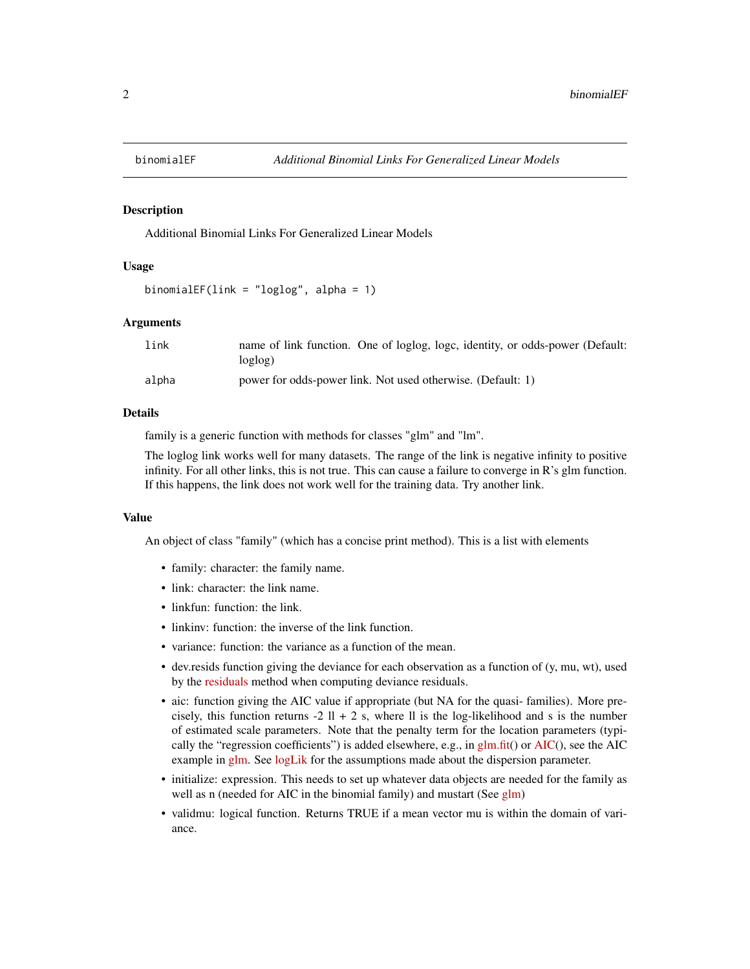<span id="page-1-0"></span>

#### **Description**

Additional Binomial Links For Generalized Linear Models

#### Usage

binomialEF(link = "loglog", alpha = 1)

#### Arguments

| link  | name of link function. One of loglog, logs, identity, or odds-power (Default:<br>loglog) |
|-------|------------------------------------------------------------------------------------------|
| alpha | power for odds-power link. Not used otherwise. (Default: 1)                              |

#### Details

family is a generic function with methods for classes "glm" and "lm".

The loglog link works well for many datasets. The range of the link is negative infinity to positive infinity. For all other links, this is not true. This can cause a failure to converge in R's glm function. If this happens, the link does not work well for the training data. Try another link.

#### Value

An object of class "family" (which has a concise print method). This is a list with elements

- family: character: the family name.
- link: character: the link name.
- linkfun: function: the link.
- linkinv: function: the inverse of the link function.
- variance: function: the variance as a function of the mean.
- dev.resids function giving the deviance for each observation as a function of (y, mu, wt), used by the [residuals](https://stat.ethz.ch/R-manual/R-devel/library/stats/html/glm.summaries.html) method when computing deviance residuals.
- aic: function giving the AIC value if appropriate (but NA for the quasi- families). More precisely, this function returns -2  $11 + 2$  s, where  $11$  is the log-likelihood and s is the number of estimated scale parameters. Note that the penalty term for the location parameters (typically the "regression coefficients") is added elsewhere, e.g., in  $g/m$ .fit() or [AIC\(](https://stat.ethz.ch/R-manual/R-devel/library/stats/html/AIC.html)), see the AIC example in [glm.](https://stat.ethz.ch/R-manual/R-devel/library/stats/html/glm.html) See [logLik](https://stat.ethz.ch/R-manual/R-devel/library/stats/html/logLik.html) for the assumptions made about the dispersion parameter.
- initialize: expression. This needs to set up whatever data objects are needed for the family as well as n (needed for AIC in the binomial family) and mustart (See [glm\)](https://stat.ethz.ch/R-manual/R-devel/RHOME/library/stats/html/glm.html)
- validmu: logical function. Returns TRUE if a mean vector mu is within the domain of variance.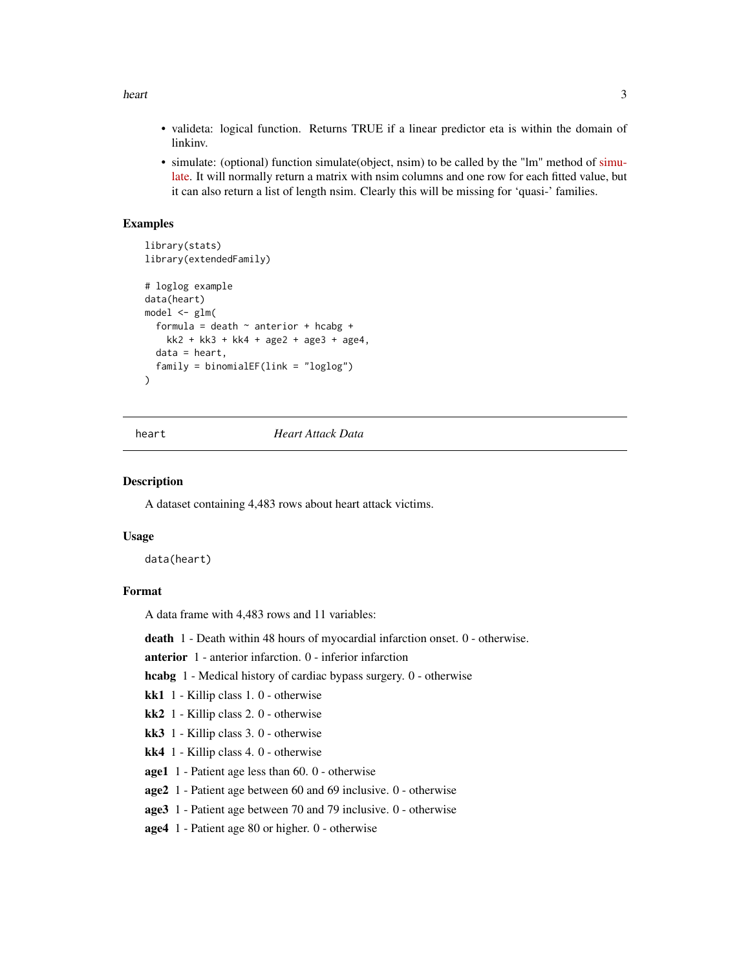<span id="page-2-0"></span>heart 3

- valideta: logical function. Returns TRUE if a linear predictor eta is within the domain of linkinv.
- simulate: (optional) function simulate(object, nsim) to be called by the "lm" method of [simu](https://stat.ethz.ch/R-manual/R-devel/library/stats/html/simulate.html)[late.](https://stat.ethz.ch/R-manual/R-devel/library/stats/html/simulate.html) It will normally return a matrix with nsim columns and one row for each fitted value, but it can also return a list of length nsim. Clearly this will be missing for 'quasi-' families.

#### Examples

```
library(stats)
library(extendedFamily)
# loglog example
data(heart)
model \leq glm(
  formula = death \sim anterior + hcabg +
    kk2 + kk3 + kk4 + age2 + age3 + age4,data = heart,
  family = binomialEF(link = "loglog")
)
```
#### heart *Heart Attack Data*

#### Description

A dataset containing 4,483 rows about heart attack victims.

#### Usage

data(heart)

#### Format

A data frame with 4,483 rows and 11 variables:

death 1 - Death within 48 hours of myocardial infarction onset. 0 - otherwise.

anterior 1 - anterior infarction. 0 - inferior infarction

hcabg 1 - Medical history of cardiac bypass surgery. 0 - otherwise

kk1 1 - Killip class 1. 0 - otherwise

- kk2 1 Killip class 2. 0 otherwise
- kk3 1 Killip class 3. 0 otherwise
- kk4 1 Killip class 4. 0 otherwise
- age1 1 Patient age less than 60. 0 otherwise
- age2 1 Patient age between 60 and 69 inclusive. 0 otherwise
- age3 1 Patient age between 70 and 79 inclusive. 0 otherwise
- age4 1 Patient age 80 or higher. 0 otherwise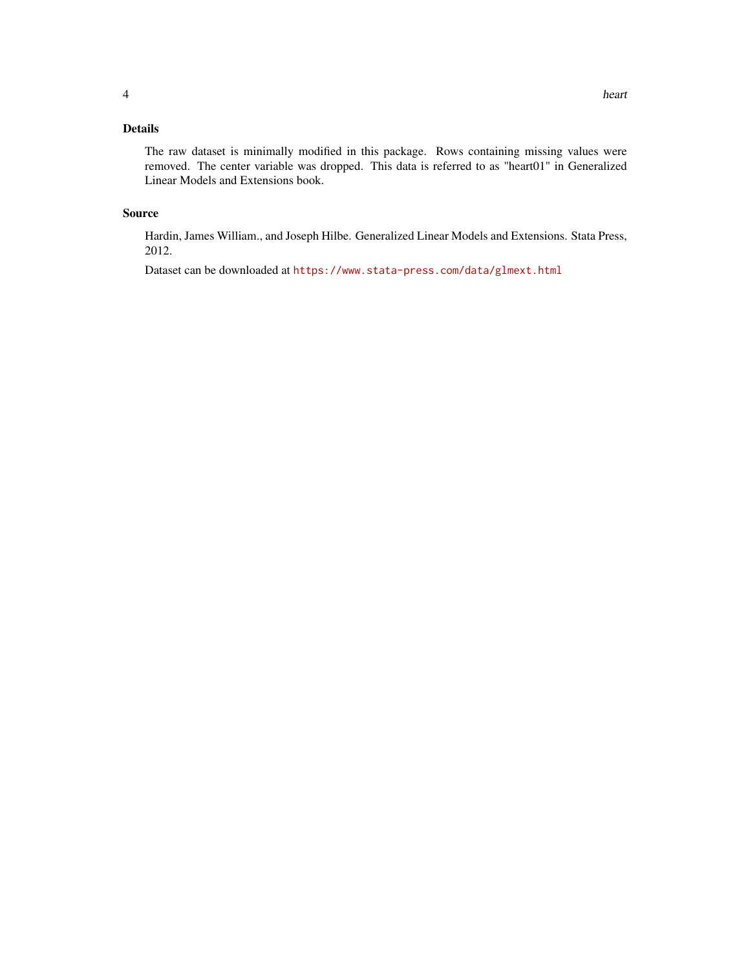#### Details

The raw dataset is minimally modified in this package. Rows containing missing values were removed. The center variable was dropped. This data is referred to as "heart01" in Generalized Linear Models and Extensions book.

#### Source

Hardin, James William., and Joseph Hilbe. Generalized Linear Models and Extensions. Stata Press, 2012.

Dataset can be downloaded at <https://www.stata-press.com/data/glmext.html>